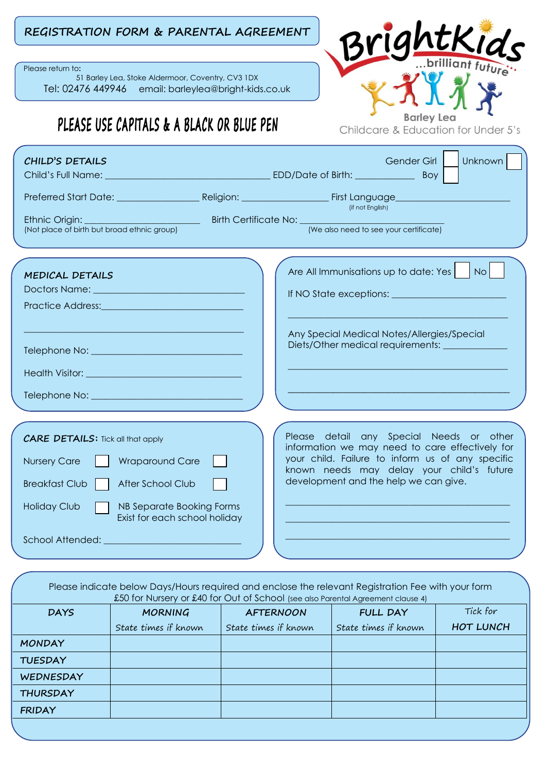## **REGISTRATION FORM & PARENTAL AGREEMENT**

Please return to**:**

51 Barley Lea, Stoke Aldermoor, Coventry, CV3 1DX Tel: 02476 449946 email: barleylea@bright-kids.co.uk

## PLEASE USE CAPITALS & A BLACK OR BLUE PEN

htkids Barley Lea Childcare & Education for Under 5's

| CHILD'S DETAILS                                                                                                                                                                                                                                                                 | Unknown  <br>Gender Girl                                                                                                                                                                                                              |
|---------------------------------------------------------------------------------------------------------------------------------------------------------------------------------------------------------------------------------------------------------------------------------|---------------------------------------------------------------------------------------------------------------------------------------------------------------------------------------------------------------------------------------|
| Child's Full Name:                                                                                                                                                                                                                                                              | Boy                                                                                                                                                                                                                                   |
|                                                                                                                                                                                                                                                                                 | (if not English)                                                                                                                                                                                                                      |
| <b>Example 2016</b> Birth Certificate No: <b>Constitution According to According 2016</b><br>Ethnic Origin:<br>(Not place of birth but broad ethnic group)                                                                                                                      | (We also need to see your certificate)                                                                                                                                                                                                |
| MEDICAL DETAILS<br>Practice Address: Maria Maria Maria Maria Maria Maria Maria Maria Maria Maria Maria Maria Maria Maria Maria Ma                                                                                                                                               | N <sub>O</sub><br>Are All Immunisations up to date: Yes<br>Any Special Medical Notes/Allergies/Special<br>Diets/Other medical requirements: ________                                                                                  |
| <b>CARE DETAILS:</b> Tick all that apply<br><b>Wraparound Care</b><br><b>Nursery Care</b><br>After School Club<br><b>Breakfast Club</b><br>NB Separate Booking Forms<br><b>Holiday Club</b><br>Exist for each school holiday<br>School Attended: ______________________________ | Please detail any Special Needs or other<br>information we may need to care effectively for<br>your child. Failure to inform us of any specific<br>known needs may delay your child's future<br>development and the help we can give. |

Please indicate below Days/Hours required and enclose the relevant Registration Fee with your form £50 for Nursery or £40 for Out of School (see also Parental Agreement clause 4) **DAYS MORNING** State times if known **AFTERNOON** State times if known **FULL DAY** State times if known Tick for **HOT LUNCH MONDAY TUESDAY WEDNESDAY THURSDAY FRIDAY**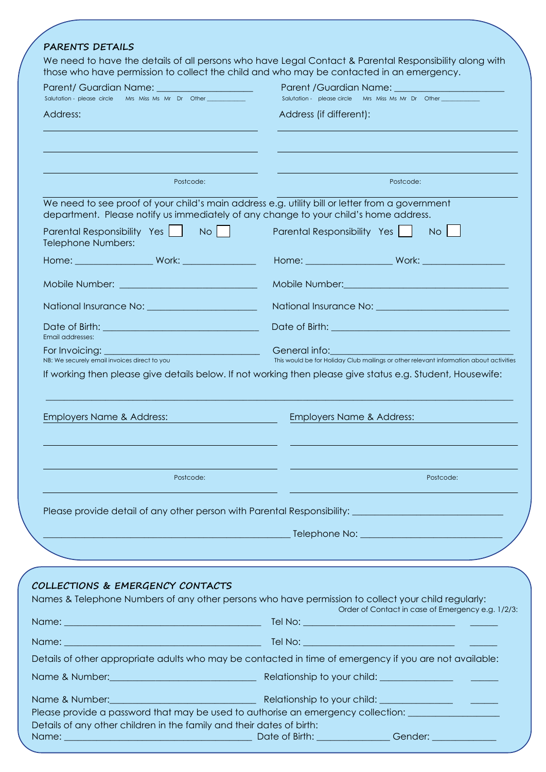|                                                                                                                                                                                                                               | We need to have the details of all persons who have Legal Contact & Parental Responsibility along with<br>those who have permission to collect the child and who may be contacted in an emergency.                                   |
|-------------------------------------------------------------------------------------------------------------------------------------------------------------------------------------------------------------------------------|--------------------------------------------------------------------------------------------------------------------------------------------------------------------------------------------------------------------------------------|
| Parent/ Guardian Name: _____________________                                                                                                                                                                                  |                                                                                                                                                                                                                                      |
| Salutation - please circle Mrs Miss Ms Mr Dr Other<br>Address:                                                                                                                                                                | Salutation - please circle Mrs Miss Ms Mr Dr Other<br>Address (if different):                                                                                                                                                        |
|                                                                                                                                                                                                                               |                                                                                                                                                                                                                                      |
|                                                                                                                                                                                                                               |                                                                                                                                                                                                                                      |
| Postcode:                                                                                                                                                                                                                     | Postcode:                                                                                                                                                                                                                            |
|                                                                                                                                                                                                                               | We need to see proof of your child's main address e.g. utility bill or letter from a government<br>department. Please notify us immediately of any change to your child's home address.                                              |
| Parental Responsibility Yes     No      <br><b>Telephone Numbers:</b>                                                                                                                                                         | Parental Responsibility Yes<br>$No$ $ $                                                                                                                                                                                              |
|                                                                                                                                                                                                                               | <b>Home:</b> Work: Work: Work: Work: 2007                                                                                                                                                                                            |
| Mobile Number: Web and the Company of the Company of the Company of the Company of the Company of the Company of the Company of the Company of the Company of the Company of the Company of the Company of the Company of the | Mobile Number: Management of the Community of the Community of the Community of the Community of the Community of the Community of the Community of the Community of the Community of the Community of the Community of the Co       |
|                                                                                                                                                                                                                               |                                                                                                                                                                                                                                      |
| Email addresses:                                                                                                                                                                                                              | Date of Birth: <u>Alexander Alexander Alexander Alexander Alexander Alexander Alexander Alexander Alexander Alex</u>                                                                                                                 |
| For Invoicing:<br><u> 1980 - Johann Barn, mars eta bainar eta i</u>                                                                                                                                                           | General info: <b>Contract Contract Contract Contract Contract Contract Contract Contract Contract Contract Contract Contract Contract Contract Contract Contract Contract Contract Contract Contract Contract Contract Contract </b> |
| NB: We securely email invoices direct to you                                                                                                                                                                                  | This would be for Holiday Club mailings or other relevant information about activities<br>If working then please give details below. If not working then please give status e.g. Student, Housewife:                                 |
| Employers Name & Address:                                                                                                                                                                                                     | Employers Name & Address:                                                                                                                                                                                                            |
| Postcode:                                                                                                                                                                                                                     | Postcode:                                                                                                                                                                                                                            |
|                                                                                                                                                                                                                               | Please provide detail of any other person with Parental Responsibility: [1986] The provide detail of any other person with Parental Responsibility:                                                                                  |
|                                                                                                                                                                                                                               |                                                                                                                                                                                                                                      |
|                                                                                                                                                                                                                               |                                                                                                                                                                                                                                      |
|                                                                                                                                                                                                                               |                                                                                                                                                                                                                                      |
| COLLECTIONS & EMERGENCY CONTACTS                                                                                                                                                                                              |                                                                                                                                                                                                                                      |
|                                                                                                                                                                                                                               | Names & Telephone Numbers of any other persons who have permission to collect your child regularly:<br>Order of Contact in case of Emergency e.g. 1/2/3:                                                                             |
|                                                                                                                                                                                                                               |                                                                                                                                                                                                                                      |
|                                                                                                                                                                                                                               |                                                                                                                                                                                                                                      |
|                                                                                                                                                                                                                               | Details of other appropriate adults who may be contacted in time of emergency if you are not available:                                                                                                                              |
|                                                                                                                                                                                                                               |                                                                                                                                                                                                                                      |
|                                                                                                                                                                                                                               |                                                                                                                                                                                                                                      |
|                                                                                                                                                                                                                               |                                                                                                                                                                                                                                      |
| Name & Number: Note and The Relationship to your child: Name & Number: 2009.<br>Name & Number: Name Show Name & Number:<br>Details of any other children in the family and their dates of birth:                              | Please provide a password that may be used to authorise an emergency collection:<br>Date of Birth: Gender: Compared Compared to Birth:                                                                                               |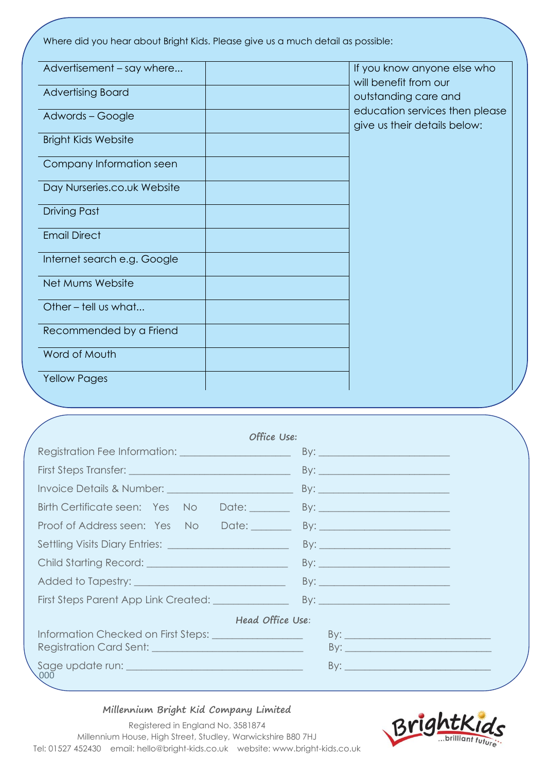Where did you hear about Bright Kids. Please give us a much detail as possible:

| If you know anyone else who<br>will benefit from our           |
|----------------------------------------------------------------|
| outstanding care and                                           |
| education services then please<br>give us their details below: |
|                                                                |
|                                                                |
|                                                                |
|                                                                |
|                                                                |
|                                                                |
|                                                                |
|                                                                |
|                                                                |
|                                                                |
|                                                                |
|                                                                |

| Office Use:                                               |  |
|-----------------------------------------------------------|--|
|                                                           |  |
| First Steps Transfer: __________________________________  |  |
|                                                           |  |
| Birth Certificate seen: Yes No Date:                      |  |
| Proof of Address seen: Yes No Date: By: By:               |  |
|                                                           |  |
|                                                           |  |
|                                                           |  |
|                                                           |  |
| Head Office Use:                                          |  |
| Information Checked on First Steps: _____________________ |  |
|                                                           |  |
| $\sqrt{000}$                                              |  |

## **Millennium Bright Kid Company Limited**



Registered in England No. 3581874 Millennium House, High Street, Studley, Warwickshire B80 7HJ Tel: 01527 452430 email: hello@bright-kids.co.uk website: www.bright-kids.co.uk